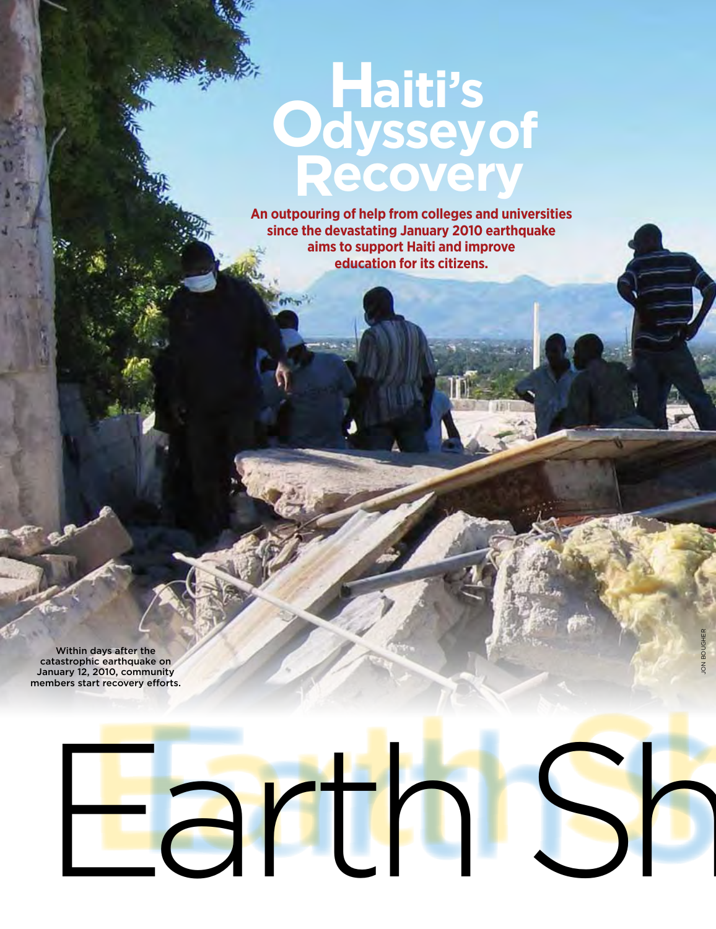# **Haiti's Odysseyof Recovery**

**An outpouring of help from colleges and universities since the devastating January 2010 earthquake aims to support Haiti and improve education for its citizens.**

Within days after the catastrophic earthquake on January 12, 2010, community members start recovery efforts.

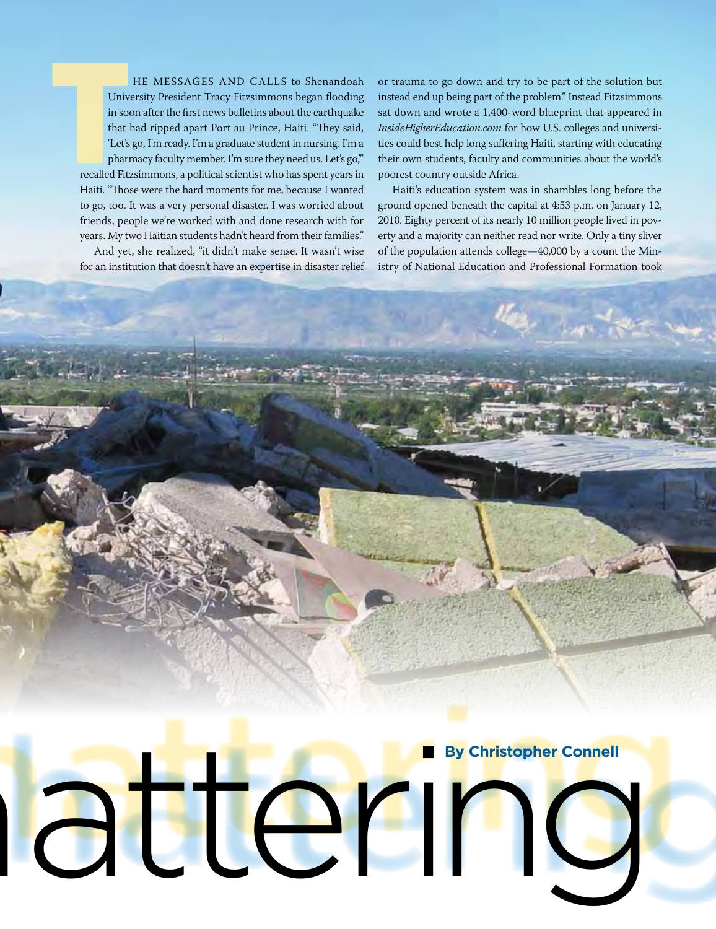HE MESSAGES AND CALLS to Shenandoah University President Tracy Fitzsimmons began flooding in soon after the first news bulletins about the earthquake that had ripped apart Port au Prince, Haiti. "They said, 'Let's go, I'm ready. I'm a graduate student in nursing. I'm a pharmacy faculty member. I'm sure they need us. Let's go," recalled Fitzsimmons, a political scientist who has spent years in Haiti. "Those were the hard moments for me, because I wanted to go, too. It was a very personal disaster. I was worried about friends, people we're worked with and done research with for years. My two Haitian students hadn't heard from their families."

And yet, she realized, "it didn't make sense. It wasn't wise for an institution that doesn't have an expertise in disaster relief

or trauma to go down and try to be part of the solution but instead end up being part of the problem." Instead Fitzsimmons sat down and wrote a 1,400-word blueprint that appeared in *InsideHigherEducation.com* for how U.S. colleges and universities could best help long suffering Haiti, starting with educating their own students, faculty and communities about the world's poorest country outside Africa.

Haiti's education system was in shambles long before the ground opened beneath the capital at 4:53 p.m. on January 12, 2010. Eighty percent of its nearly 10 million people lived in poverty and a majority can neither read nor write. Only a tiny sliver of the population attends college—40,000 by a count the Ministry of National Education and Professional Formation took

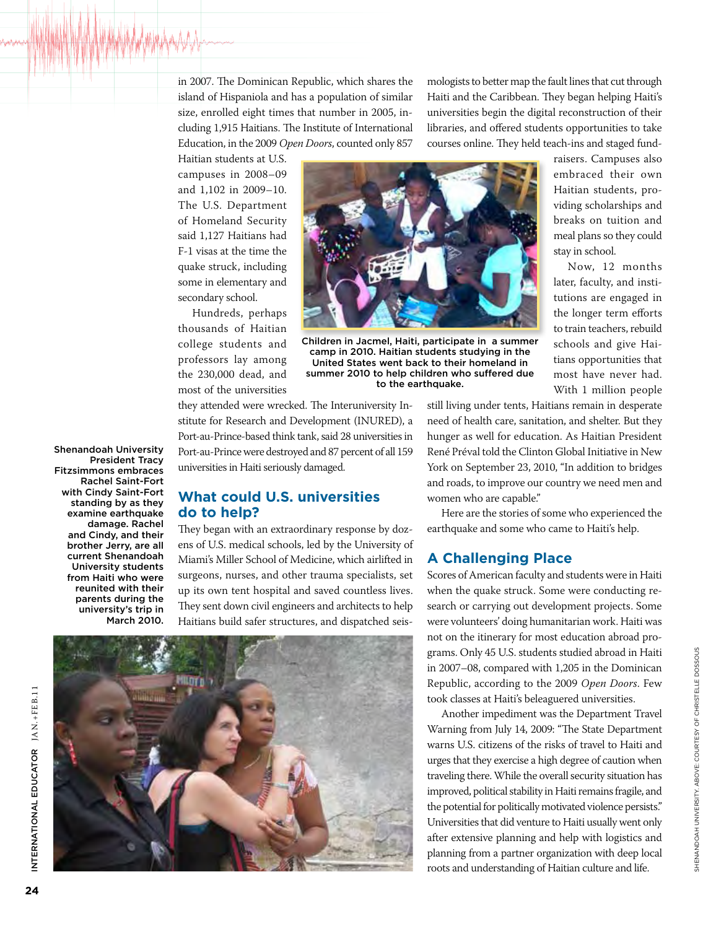in 2007. The Dominican Republic, which shares the island of Hispaniola and has a population of similar size, enrolled eight times that number in 2005, including 1,915 Haitians. The Institute of International Education, in the 2009 *Open Doors*, counted only 857

mologists to better map the fault lines that cut through Haiti and the Caribbean. They began helping Haiti's universities begin the digital reconstruction of their libraries, and offered students opportunities to take courses online. They held teach-ins and staged fund-

> raisers. Campuses also embraced their own Haitian students, providing scholarships and breaks on tuition and meal plans so they could

> Now, 12 months later, faculty, and institutions are engaged in the longer term efforts to train teachers, rebuild schools and give Haitians opportunities that most have never had. With 1 million people

stay in school.

Haitian students at U.S. campuses in 2008–09 and 1,102 in 2009–10. The U.S. Department of Homeland Security said 1,127 Haitians had F-1 visas at the time the quake struck, including some in elementary and secondary school.

Hundreds, perhaps thousands of Haitian college students and professors lay among the 230,000 dead, and most of the universities



Children in Jacmel, Haiti, participate in a summer camp in 2010. Haitian students studying in the United States went back to their homeland in summer 2010 to help children who suffered due to the earthquake.

they attended were wrecked. The Interuniversity Institute for Research and Development (INURED), a Port-au-Prince-based think tank, said 28 universities in Port-au-Prince were destroyed and 87 percent of all 159 universities in Haiti seriously damaged.

#### **What could U.S. universities do to help?**

They began with an extraordinary response by dozens of U.S. medical schools, led by the University of Miami's Miller School of Medicine, which airlifted in surgeons, nurses, and other trauma specialists, set up its own tent hospital and saved countless lives. They sent down civil engineers and architects to help Haitians build safer structures, and dispatched seis-



still living under tents, Haitians remain in desperate need of health care, sanitation, and shelter. But they hunger as well for education. As Haitian President René Préval told the Clinton Global Initiative in New York on September 23, 2010, "In addition to bridges and roads, to improve our country we need men and women who are capable."

Here are the stories of some who experienced the earthquake and some who came to Haiti's help.

# **A Challenging Place**

Scores of American faculty and students were in Haiti when the quake struck. Some were conducting research or carrying out development projects. Some were volunteers' doing humanitarian work. Haiti was not on the itinerary for most education abroad programs. Only 45 U.S. students studied abroad in Haiti in 2007–08, compared with 1,205 in the Dominican Republic, according to the 2009 *Open Doors*. Few took classes at Haiti's beleaguered universities.

Another impediment was the Department Travel Warning from July 14, 2009: "The State Department warns U.S. citizens of the risks of travel to Haiti and urges that they exercise a high degree of caution when traveling there. While the overall security situation has improved, political stability in Haiti remains fragile, and the potential for politically motivated violence persists." Universities that did venture to Haiti usually went only after extensive planning and help with logistics and planning from a partner organization with deep local roots and understanding of Haitian culture and life.

Shenandoah University President Tracy Fitzsimmons embraces Rachel Saint-Fort with Cindy Saint-Fort standing by as they examine earthquake damage. Rachel and Cindy, and their brother Jerry, are all current Shenandoah University students from Haiti who were reunited with their parents during the university's trip in March 2010.

International Educ

NTERNATIONAL EDUCATOR JAN.+FEB.11

ator Jan.+FE B.11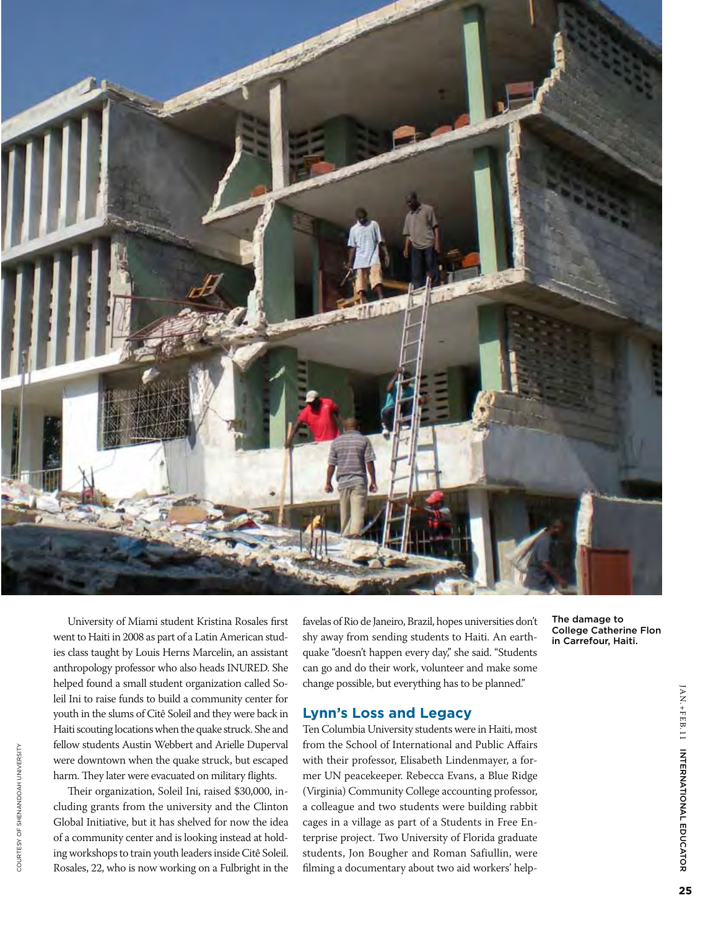

University of Miami student Kristina Rosales first went to Haiti in 2008 as part of a Latin American studies class taught by Louis Herns Marcelin, an assistant anthropology professor who also heads INURED. She helped found a small student organization called Soleil Ini to raise funds to build a community center for youth in the slums of Citê Soleil and they were back in Haiti scouting locations when the quake struck. She and fellow students Austin Webbert and Arielle Duperval were downtown when the quake struck, but escaped harm. They later were evacuated on military flights.

Their organization, Soleil Ini, raised \$30,000, including grants from the university and the Clinton Global Initiative, but it has shelved for now the idea of a community center and is looking instead at holding workshops to train youth leaders inside Citê Soleil. Rosales, 22, who is now working on a Fulbright in the

favelas of Rio de Janeiro, Brazil, hopes universities don't shy away from sending students to Haiti. An earthquake "doesn't happen every day," she said. "Students can go and do their work, volunteer and make some change possible, but everything has to be planned."

#### **Lynn's Loss and Legacy**

Ten Columbia University students were in Haiti, most from the School of International and Public Affairs with their professor, Elisabeth Lindenmayer, a former UN peacekeeper. Rebecca Evans, a Blue Ridge (Virginia) Community College accounting professor, a colleague and two students were building rabbit cages in a village as part of a Students in Free Enterprise project. Two University of Florida graduate students, Jon Bougher and Roman Safiullin, were filming a documentary about two aid workers' helpThe damage to College Catherine Flon in Carrefour, Haiti.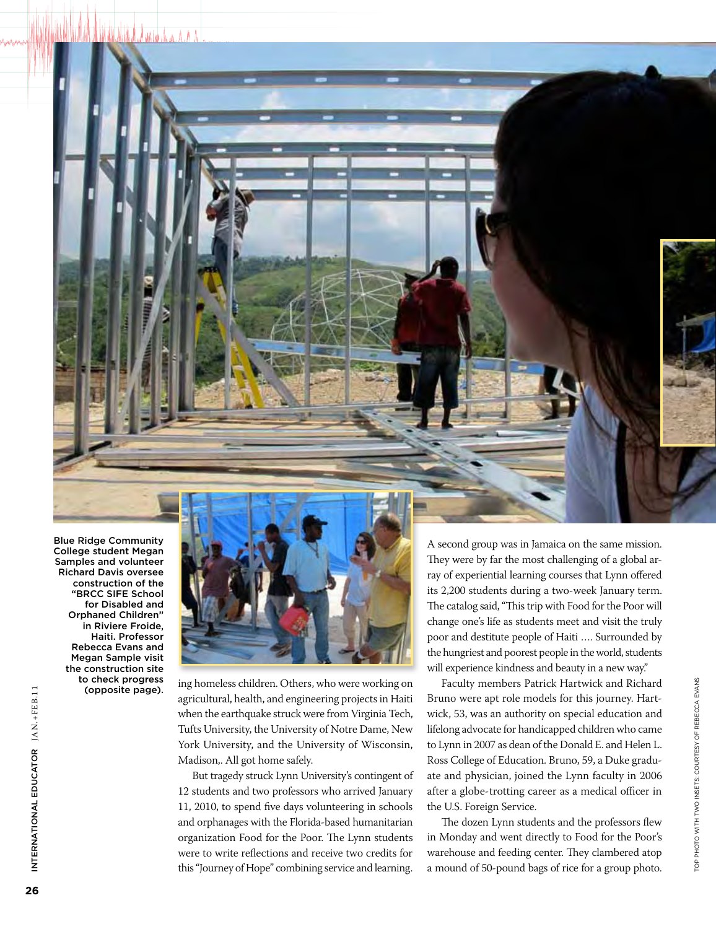Blue Ridge Community College student Megan Samples and volunteer Richard Davis oversee construction of the "BRCC SIFE School for Disabled and Orphaned Children" in Riviere Froide, Haiti. Professor Rebecca Evans and Megan Sample visit the construction site to check progress (opposite page).



ing homeless children. Others, who were working on agricultural, health, and engineering projects in Haiti when the earthquake struck were from Virginia Tech, Tufts University, the University of Notre Dame, New York University, and the University of Wisconsin, Madison,. All got home safely.

But tragedy struck Lynn University's contingent of 12 students and two professors who arrived January 11, 2010, to spend five days volunteering in schools and orphanages with the Florida-based humanitarian organization Food for the Poor. The Lynn students were to write reflections and receive two credits for this "Journey of Hope" combining service and learning.

A second group was in Jamaica on the same mission. They were by far the most challenging of a global array of experiential learning courses that Lynn offered its 2,200 students during a two-week January term. The catalog said, "This trip with Food for the Poor will change one's life as students meet and visit the truly poor and destitute people of Haiti …. Surrounded by the hungriest and poorest people in the world, students will experience kindness and beauty in a new way."

Faculty members Patrick Hartwick and Richard Bruno were apt role models for this journey. Hartwick, 53, was an authority on special education and lifelong advocate for handicapped children who came to Lynn in 2007 as dean of the Donald E. and Helen L. Ross College of Education. Bruno, 59, a Duke graduate and physician, joined the Lynn faculty in 2006 after a globe-trotting career as a medical officer in the U.S. Foreign Service.

The dozen Lynn students and the professors flew in Monday and went directly to Food for the Poor's warehouse and feeding center. They clambered atop a mound of 50-pound bags of rice for a group photo.

International Educ

INTERNATIONAL EDUCATOR JAN.+FEB.11

ator Jan.+FE B.11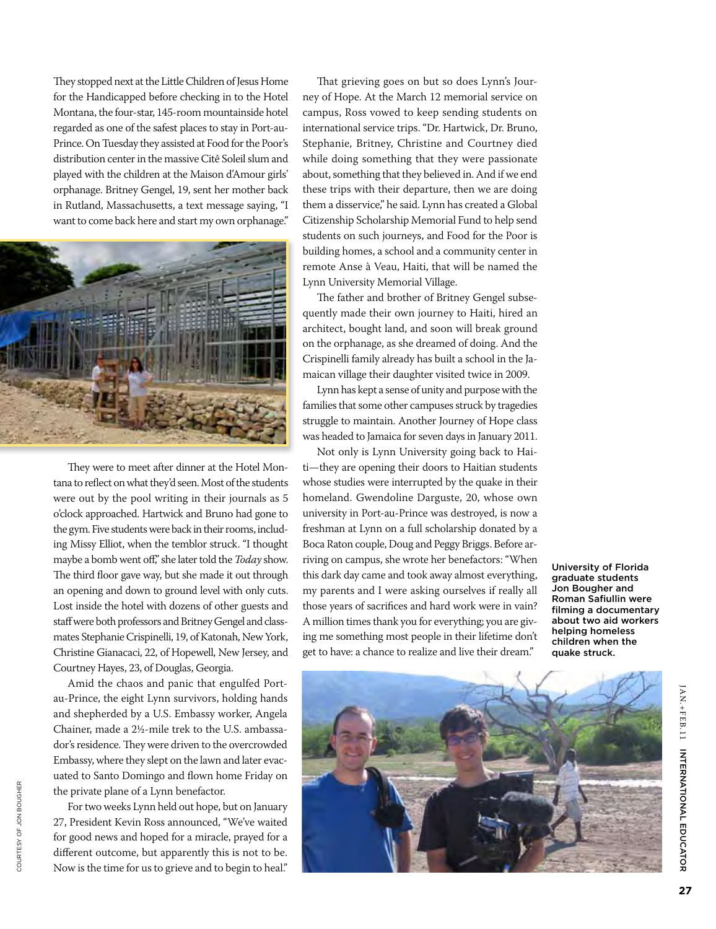They stopped next at the Little Children of Jesus Home for the Handicapped before checking in to the Hotel Montana, the four-star, 145-room mountainside hotel regarded as one of the safest places to stay in Port-au-Prince. On Tuesday they assisted at Food for the Poor's distribution center in the massive Citê Soleil slum and played with the children at the Maison d'Amour girls' orphanage. Britney Gengel, 19, sent her mother back in Rutland, Massachusetts, a text message saying, "I want to come back here and start my own orphanage."



They were to meet after dinner at the Hotel Montana to reflect on what they'd seen. Most of the students were out by the pool writing in their journals as 5 o'clock approached. Hartwick and Bruno had gone to the gym. Five students were back in their rooms, including Missy Elliot, when the temblor struck. "I thought maybe a bomb went off," she later told the *Today* show. The third floor gave way, but she made it out through an opening and down to ground level with only cuts. Lost inside the hotel with dozens of other guests and staff were both professors and Britney Gengel and classmates Stephanie Crispinelli, 19, of Katonah, New York, Christine Gianacaci, 22, of Hopewell, New Jersey, and Courtney Hayes, 23, of Douglas, Georgia.

Amid the chaos and panic that engulfed Portau-Prince, the eight Lynn survivors, holding hands and shepherded by a U.S. Embassy worker, Angela Chainer, made a 2½-mile trek to the U.S. ambassador's residence. They were driven to the overcrowded Embassy, where they slept on the lawn and later evacuated to Santo Domingo and flown home Friday on the private plane of a Lynn benefactor.

For two weeks Lynn held out hope, but on January 27, President Kevin Ross announced, "We've waited for good news and hoped for a miracle, prayed for a different outcome, but apparently this is not to be. Now is the time for us to grieve and to begin to heal."

That grieving goes on but so does Lynn's Journey of Hope. At the March 12 memorial service on campus, Ross vowed to keep sending students on international service trips. "Dr. Hartwick, Dr. Bruno, Stephanie, Britney, Christine and Courtney died while doing something that they were passionate about, something that they believed in. And if we end these trips with their departure, then we are doing them a disservice," he said. Lynn has created a Global Citizenship Scholarship Memorial Fund to help send students on such journeys, and Food for the Poor is building homes, a school and a community center in remote Anse à Veau, Haiti, that will be named the Lynn University Memorial Village.

The father and brother of Britney Gengel subsequently made their own journey to Haiti, hired an architect, bought land, and soon will break ground on the orphanage, as she dreamed of doing. And the Crispinelli family already has built a school in the Jamaican village their daughter visited twice in 2009.

Lynn has kept a sense of unity and purpose with the families that some other campuses struck by tragedies struggle to maintain. Another Journey of Hope class was headed to Jamaica for seven days in January 2011.

Not only is Lynn University going back to Haiti—they are opening their doors to Haitian students whose studies were interrupted by the quake in their homeland. Gwendoline Darguste, 20, whose own university in Port-au-Prince was destroyed, is now a freshman at Lynn on a full scholarship donated by a Boca Raton couple, Doug and Peggy Briggs. Before arriving on campus, she wrote her benefactors: "When this dark day came and took away almost everything, my parents and I were asking ourselves if really all those years of sacrifices and hard work were in vain? A million times thank you for everything; you are giving me something most people in their lifetime don't get to have: a chance to realize and live their dream."

University of Florida graduate students Jon Bougher and Roman Safiullin were filming a documentary about two aid workers helping homeless children when the quake struck.



ator

Jan.+FE

B.11

INTERNATION<br>FOOT Educ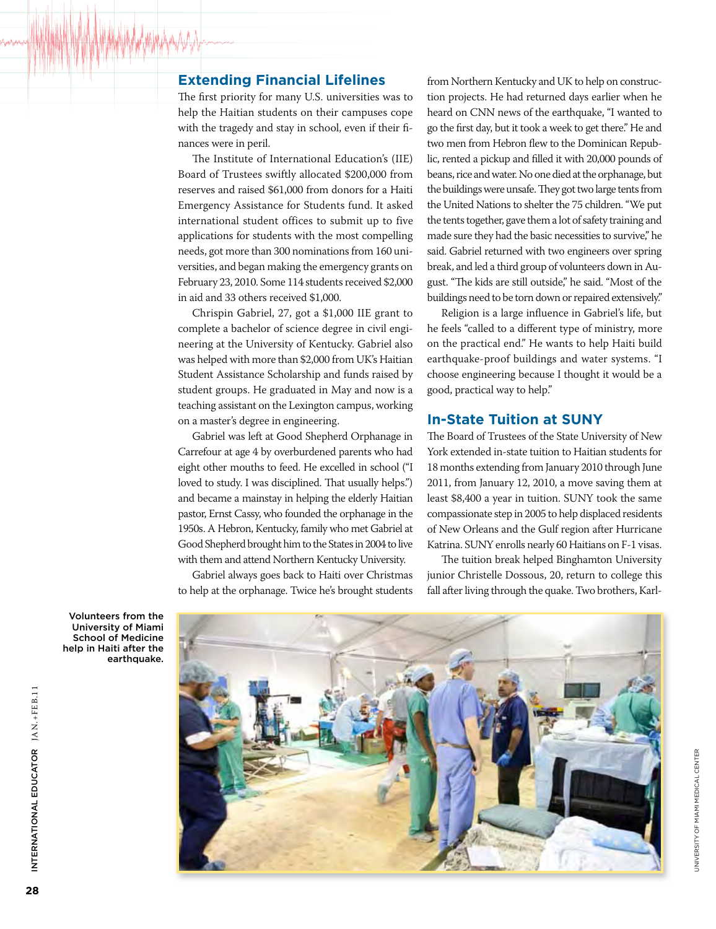#### **Extending Financial Lifelines**

The first priority for many U.S. universities was to help the Haitian students on their campuses cope with the tragedy and stay in school, even if their finances were in peril.

The Institute of International Education's (IIE) Board of Trustees swiftly allocated \$200,000 from reserves and raised \$61,000 from donors for a Haiti Emergency Assistance for Students fund. It asked international student offices to submit up to five applications for students with the most compelling needs, got more than 300 nominations from 160 universities, and began making the emergency grants on February 23, 2010. Some 114 students received \$2,000 in aid and 33 others received \$1,000.

Chrispin Gabriel, 27, got a \$1,000 IIE grant to complete a bachelor of science degree in civil engineering at the University of Kentucky. Gabriel also was helped with more than \$2,000 from UK's Haitian Student Assistance Scholarship and funds raised by student groups. He graduated in May and now is a teaching assistant on the Lexington campus, working on a master's degree in engineering.

Gabriel was left at Good Shepherd Orphanage in Carrefour at age 4 by overburdened parents who had eight other mouths to feed. He excelled in school ("I loved to study. I was disciplined. That usually helps.") and became a mainstay in helping the elderly Haitian pastor, Ernst Cassy, who founded the orphanage in the 1950s. A Hebron, Kentucky, family who met Gabriel at Good Shepherd brought him to the States in 2004 to live with them and attend Northern Kentucky University.

Gabriel always goes back to Haiti over Christmas to help at the orphanage. Twice he's brought students

from Northern Kentucky and UK to help on construction projects. He had returned days earlier when he heard on CNN news of the earthquake, "I wanted to go the first day, but it took a week to get there." He and two men from Hebron flew to the Dominican Republic, rented a pickup and filled it with 20,000 pounds of beans, rice and water. No one died at the orphanage, but the buildings were unsafe. They got two large tents from the United Nations to shelter the 75 children. "We put the tents together, gave them a lot of safety training and made sure they had the basic necessities to survive," he said. Gabriel returned with two engineers over spring break, and led a third group of volunteers down in August. "The kids are still outside," he said. "Most of the buildings need to be torn down or repaired extensively."

Religion is a large influence in Gabriel's life, but he feels "called to a different type of ministry, more on the practical end." He wants to help Haiti build earthquake-proof buildings and water systems. "I choose engineering because I thought it would be a good, practical way to help."

#### **In-State Tuition at SUNY**

The Board of Trustees of the State University of New York extended in-state tuition to Haitian students for 18 months extending from January 2010 through June 2011, from January 12, 2010, a move saving them at least \$8,400 a year in tuition. SUNY took the same compassionate step in 2005 to help displaced residents of New Orleans and the Gulf region after Hurricane Katrina. SUNY enrolls nearly 60 Haitians on F-1 visas.

The tuition break helped Binghamton University junior Christelle Dossous, 20, return to college this fall after living through the quake. Two brothers, Karl-

University of Miami Medical Center

**UNIVERSITY OF MIAMI MEDICAL CENTER** 



Volunteers from the University of Miami School of Medicine help in Haiti after the earthquake.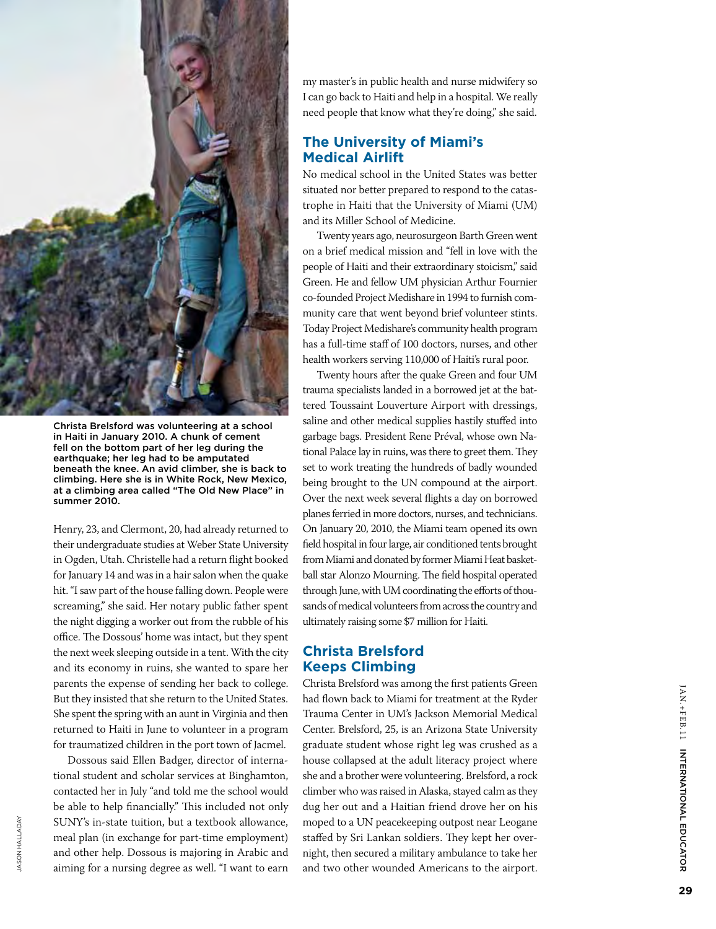

Christa Brelsford was volunteering at a school in Haiti in January 2010. A chunk of cement fell on the bottom part of her leg during the earthquake; her leg had to be amputated beneath the knee. An avid climber, she is back to climbing. Here she is in White Rock, New Mexico, at a climbing area called "The Old New Place" in summer 2010.

Henry, 23, and Clermont, 20, had already returned to their undergraduate studies at Weber State University in Ogden, Utah. Christelle had a return flight booked for January 14 and was in a hair salon when the quake hit. "I saw part of the house falling down. People were screaming," she said. Her notary public father spent the night digging a worker out from the rubble of his office. The Dossous' home was intact, but they spent the next week sleeping outside in a tent. With the city and its economy in ruins, she wanted to spare her parents the expense of sending her back to college. But they insisted that she return to the United States. She spent the spring with an aunt in Virginia and then returned to Haiti in June to volunteer in a program for traumatized children in the port town of Jacmel.

Dossous said Ellen Badger, director of international student and scholar services at Binghamton, contacted her in July "and told me the school would be able to help financially." This included not only SUNY's in-state tuition, but a textbook allowance, meal plan (in exchange for part-time employment) and other help. Dossous is majoring in Arabic and aiming for a nursing degree as well. "I want to earn

Jason Halladay

**IASON HALLADAY** 

my master's in public health and nurse midwifery so I can go back to Haiti and help in a hospital. We really need people that know what they're doing," she said.

## **The University of Miami's Medical Airlift**

No medical school in the United States was better situated nor better prepared to respond to the catastrophe in Haiti that the University of Miami (UM) and its Miller School of Medicine.

Twenty years ago, neurosurgeon Barth Green went on a brief medical mission and "fell in love with the people of Haiti and their extraordinary stoicism," said Green. He and fellow UM physician Arthur Fournier co-founded Project Medishare in 1994 to furnish community care that went beyond brief volunteer stints. Today Project Medishare's community health program has a full-time staff of 100 doctors, nurses, and other health workers serving 110,000 of Haiti's rural poor.

Twenty hours after the quake Green and four UM trauma specialists landed in a borrowed jet at the battered Toussaint Louverture Airport with dressings, saline and other medical supplies hastily stuffed into garbage bags. President Rene Préval, whose own National Palace lay in ruins, was there to greet them. They set to work treating the hundreds of badly wounded being brought to the UN compound at the airport. Over the next week several flights a day on borrowed planes ferried in more doctors, nurses, and technicians. On January 20, 2010, the Miami team opened its own field hospital in four large, air conditioned tents brought from Miami and donated by former Miami Heat basketball star Alonzo Mourning. The field hospital operated through June, with UM coordinating the efforts of thousands of medical volunteers from across the country and ultimately raising some \$7 million for Haiti.

# **Christa Brelsford Keeps Climbing**

Christa Brelsford was among the first patients Green had flown back to Miami for treatment at the Ryder Trauma Center in UM's Jackson Memorial Medical Center. Brelsford, 25, is an Arizona State University graduate student whose right leg was crushed as a house collapsed at the adult literacy project where she and a brother were volunteering. Brelsford, a rock climber who was raised in Alaska, stayed calm as they dug her out and a Haitian friend drove her on his moped to a UN peacekeeping outpost near Leogane staffed by Sri Lankan soldiers. They kept her overnight, then secured a military ambulance to take her and two other wounded Americans to the airport.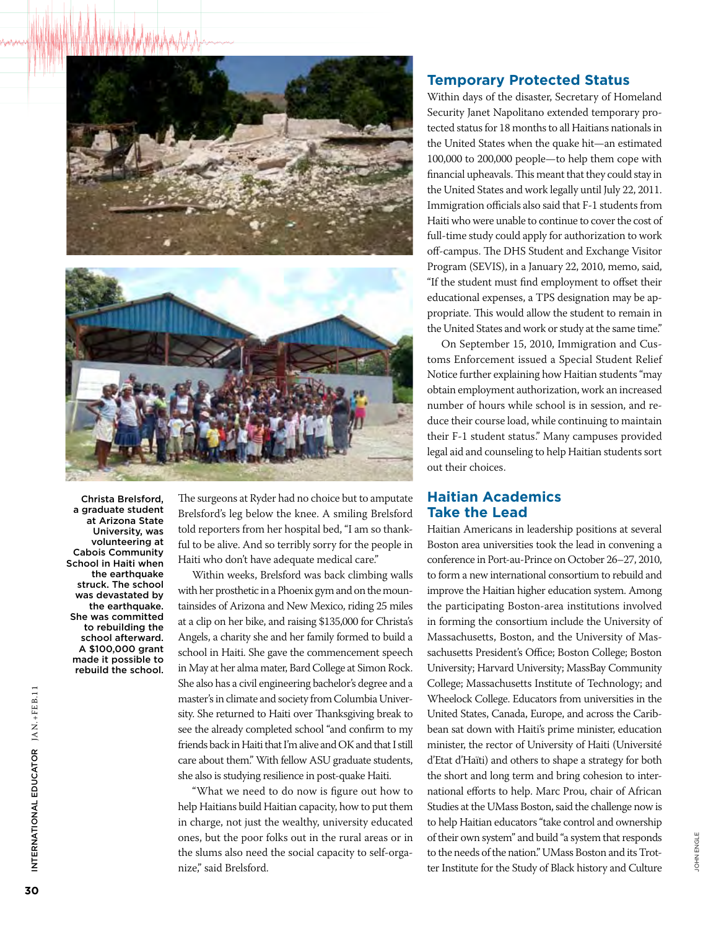



Christa Brelsford, a graduate student at Arizona State University, was volunteering at Cabois Community School in Haiti when the earthquake struck. The school was devastated by the earthquake. She was committed to rebuilding the school afterward. A \$100,000 grant made it possible to rebuild the school.

The surgeons at Ryder had no choice but to amputate Brelsford's leg below the knee. A smiling Brelsford told reporters from her hospital bed, "I am so thankful to be alive. And so terribly sorry for the people in Haiti who don't have adequate medical care."

Within weeks, Brelsford was back climbing walls with her prosthetic in a Phoenix gym and on the mountainsides of Arizona and New Mexico, riding 25 miles at a clip on her bike, and raising \$135,000 for Christa's Angels, a charity she and her family formed to build a school in Haiti. She gave the commencement speech in May at her alma mater, Bard College at Simon Rock. She also has a civil engineering bachelor's degree and a master's in climate and society from Columbia University. She returned to Haiti over Thanksgiving break to see the already completed school "and confirm to my friends back in Haiti that I'm alive and OK and that I still care about them." With fellow ASU graduate students, she also is studying resilience in post-quake Haiti.

"What we need to do now is figure out how to help Haitians build Haitian capacity, how to put them in charge, not just the wealthy, university educated ones, but the poor folks out in the rural areas or in the slums also need the social capacity to self-organize," said Brelsford.

#### **Temporary Protected Status**

Within days of the disaster, Secretary of Homeland Security Janet Napolitano extended temporary protected status for 18 months to all Haitians nationals in the United States when the quake hit—an estimated 100,000 to 200,000 people—to help them cope with financial upheavals. This meant that they could stay in the United States and work legally until July 22, 2011. Immigration officials also said that F-1 students from Haiti who were unable to continue to cover the cost of full-time study could apply for authorization to work off-campus. The DHS Student and Exchange Visitor Program (SEVIS), in a January 22, 2010, memo, said, "If the student must find employment to offset their educational expenses, a TPS designation may be appropriate. This would allow the student to remain in the United States and work or study at the same time."

On September 15, 2010, Immigration and Customs Enforcement issued a Special Student Relief Notice further explaining how Haitian students "may obtain employment authorization, work an increased number of hours while school is in session, and reduce their course load, while continuing to maintain their F-1 student status." Many campuses provided legal aid and counseling to help Haitian students sort out their choices.

#### **Haitian Academics Take the Lead**

Haitian Americans in leadership positions at several Boston area universities took the lead in convening a conference in Port-au-Prince on October 26–27, 2010, to form a new international consortium to rebuild and improve the Haitian higher education system. Among the participating Boston-area institutions involved in forming the consortium include the University of Massachusetts, Boston, and the University of Massachusetts President's Office; Boston College; Boston University; Harvard University; MassBay Community College; Massachusetts Institute of Technology; and Wheelock College. Educators from universities in the United States, Canada, Europe, and across the Caribbean sat down with Haiti's prime minister, education minister, the rector of University of Haiti (Université d'Etat d'Haïti) and others to shape a strategy for both the short and long term and bring cohesion to international efforts to help. Marc Prou, chair of African Studies at the UMass Boston, said the challenge now is to help Haitian educators "take control and ownership of their own system" and build "a system that responds to the needs of the nation." UMass Boston and its Trotter Institute for the Study of Black history and Culture

John Engle

JOHN ENGLE